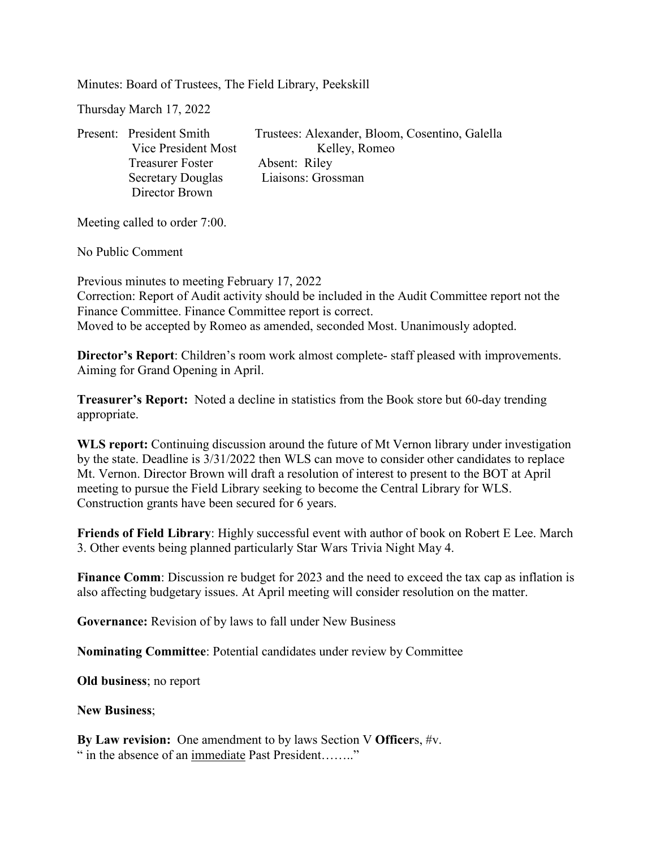Minutes: Board of Trustees, The Field Library, Peekskill

Thursday March 17, 2022

| Present: President Smith | Trustees: Alexander, Bloom, Cosentino, Galella |
|--------------------------|------------------------------------------------|
| Vice President Most      | Kelley, Romeo                                  |
| <b>Treasurer Foster</b>  | Absent: Riley                                  |
| <b>Secretary Douglas</b> | Liaisons: Grossman                             |
| Director Brown           |                                                |

Meeting called to order 7:00.

No Public Comment

Previous minutes to meeting February 17, 2022 Correction: Report of Audit activity should be included in the Audit Committee report not the Finance Committee. Finance Committee report is correct. Moved to be accepted by Romeo as amended, seconded Most. Unanimously adopted.

**Director's Report**: Children's room work almost complete- staff pleased with improvements. Aiming for Grand Opening in April.

**Treasurer's Report:** Noted a decline in statistics from the Book store but 60-day trending appropriate.

**WLS report:** Continuing discussion around the future of Mt Vernon library under investigation by the state. Deadline is 3/31/2022 then WLS can move to consider other candidates to replace Mt. Vernon. Director Brown will draft a resolution of interest to present to the BOT at April meeting to pursue the Field Library seeking to become the Central Library for WLS. Construction grants have been secured for 6 years.

**Friends of Field Library**: Highly successful event with author of book on Robert E Lee. March 3. Other events being planned particularly Star Wars Trivia Night May 4.

**Finance Comm**: Discussion re budget for 2023 and the need to exceed the tax cap as inflation is also affecting budgetary issues. At April meeting will consider resolution on the matter.

**Governance:** Revision of by laws to fall under New Business

**Nominating Committee**: Potential candidates under review by Committee

**Old business**; no report

**New Business**;

**By Law revision:** One amendment to by laws Section V **Officer**s, #v. " in the absence of an immediate Past President........"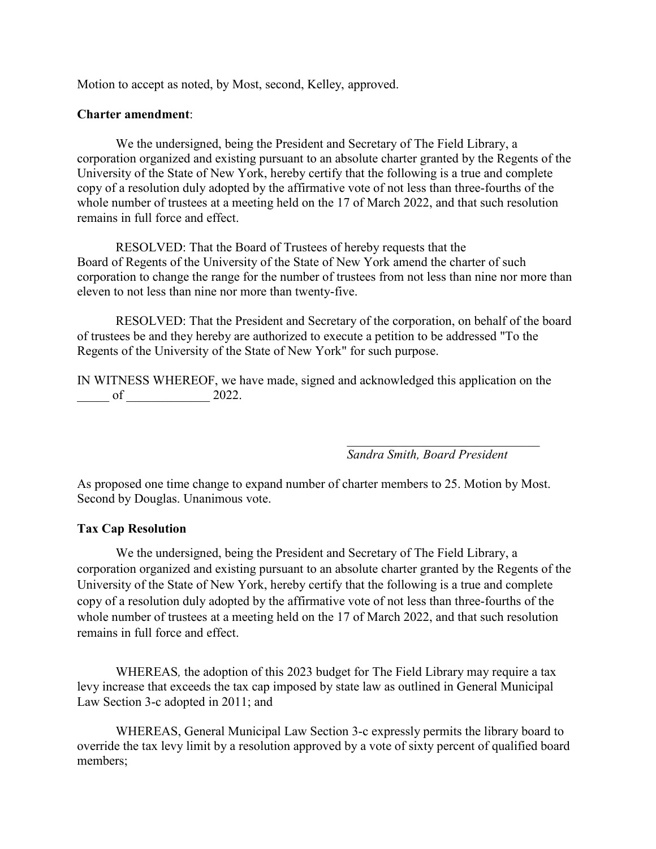Motion to accept as noted, by Most, second, Kelley, approved.

## **Charter amendment**:

We the undersigned, being the President and Secretary of The Field Library, a corporation organized and existing pursuant to an absolute charter granted by the Regents of the University of the State of New York, hereby certify that the following is a true and complete copy of a resolution duly adopted by the affirmative vote of not less than three-fourths of the whole number of trustees at a meeting held on the 17 of March 2022, and that such resolution remains in full force and effect.

RESOLVED: That the Board of Trustees of hereby requests that the Board of Regents of the University of the State of New York amend the charter of such corporation to change the range for the number of trustees from not less than nine nor more than eleven to not less than nine nor more than twenty-five.

RESOLVED: That the President and Secretary of the corporation, on behalf of the board of trustees be and they hereby are authorized to execute a petition to be addressed "To the Regents of the University of the State of New York" for such purpose.

IN WITNESS WHEREOF, we have made, signed and acknowledged this application on the  $of$   $2022.$ 

> *\_\_\_\_\_\_\_\_\_\_\_\_\_\_\_\_\_\_\_\_\_\_\_\_\_\_\_\_\_\_ Sandra Smith, Board President*

As proposed one time change to expand number of charter members to 25. Motion by Most. Second by Douglas. Unanimous vote.

## **Tax Cap Resolution**

We the undersigned, being the President and Secretary of The Field Library, a corporation organized and existing pursuant to an absolute charter granted by the Regents of the University of the State of New York, hereby certify that the following is a true and complete copy of a resolution duly adopted by the affirmative vote of not less than three-fourths of the whole number of trustees at a meeting held on the 17 of March 2022, and that such resolution remains in full force and effect.

WHEREAS*,* the adoption of this 2023 budget for The Field Library may require a tax levy increase that exceeds the tax cap imposed by state law as outlined in General Municipal Law Section 3-c adopted in 2011; and

WHEREAS, General Municipal Law Section 3-c expressly permits the library board to override the tax levy limit by a resolution approved by a vote of sixty percent of qualified board members;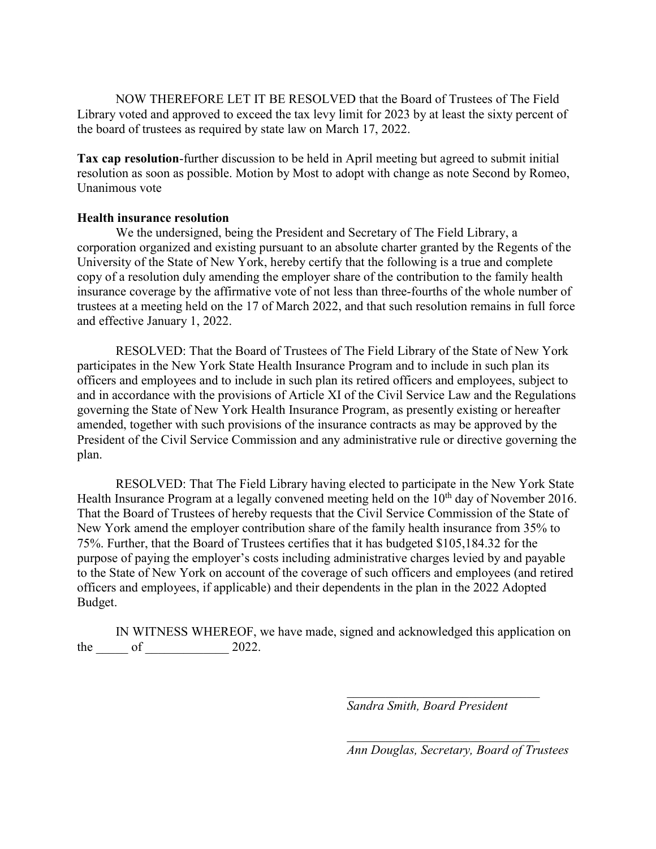NOW THEREFORE LET IT BE RESOLVED that the Board of Trustees of The Field Library voted and approved to exceed the tax levy limit for 2023 by at least the sixty percent of the board of trustees as required by state law on March 17, 2022.

**Tax cap resolution**-further discussion to be held in April meeting but agreed to submit initial resolution as soon as possible. Motion by Most to adopt with change as note Second by Romeo, Unanimous vote

## **Health insurance resolution**

We the undersigned, being the President and Secretary of The Field Library, a corporation organized and existing pursuant to an absolute charter granted by the Regents of the University of the State of New York, hereby certify that the following is a true and complete copy of a resolution duly amending the employer share of the contribution to the family health insurance coverage by the affirmative vote of not less than three-fourths of the whole number of trustees at a meeting held on the 17 of March 2022, and that such resolution remains in full force and effective January 1, 2022.

RESOLVED: That the Board of Trustees of The Field Library of the State of New York participates in the New York State Health Insurance Program and to include in such plan its officers and employees and to include in such plan its retired officers and employees, subject to and in accordance with the provisions of Article XI of the Civil Service Law and the Regulations governing the State of New York Health Insurance Program, as presently existing or hereafter amended, together with such provisions of the insurance contracts as may be approved by the President of the Civil Service Commission and any administrative rule or directive governing the plan.

RESOLVED: That The Field Library having elected to participate in the New York State Health Insurance Program at a legally convened meeting held on the  $10<sup>th</sup>$  day of November 2016. That the Board of Trustees of hereby requests that the Civil Service Commission of the State of New York amend the employer contribution share of the family health insurance from 35% to 75%. Further, that the Board of Trustees certifies that it has budgeted \$105,184.32 for the purpose of paying the employer's costs including administrative charges levied by and payable to the State of New York on account of the coverage of such officers and employees (and retired officers and employees, if applicable) and their dependents in the plan in the 2022 Adopted Budget.

IN WITNESS WHEREOF, we have made, signed and acknowledged this application on the <u>our</u> of <u>contracts</u> 2022.

*Sandra Smith, Board President*

*Ann Douglas, Secretary, Board of Trustees*

*\_\_\_\_\_\_\_\_\_\_\_\_\_\_\_\_\_\_\_\_\_\_\_\_\_\_\_\_\_\_*